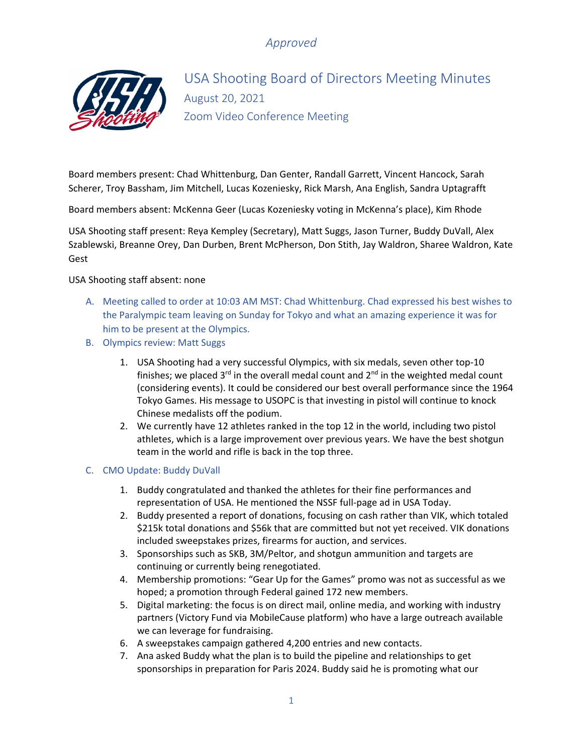

USA Shooting Board of Directors Meeting Minutes August 20, 2021 Zoom Video Conference Meeting

Board members present: Chad Whittenburg, Dan Genter, Randall Garrett, Vincent Hancock, Sarah Scherer, Troy Bassham, Jim Mitchell, Lucas Kozeniesky, Rick Marsh, Ana English, Sandra Uptagrafft

Board members absent: McKenna Geer (Lucas Kozeniesky voting in McKenna's place), Kim Rhode

USA Shooting staff present: Reya Kempley (Secretary), Matt Suggs, Jason Turner, Buddy DuVall, Alex Szablewski, Breanne Orey, Dan Durben, Brent McPherson, Don Stith, Jay Waldron, Sharee Waldron, Kate Gest

USA Shooting staff absent: none

- A. Meeting called to order at 10:03 AM MST: Chad Whittenburg. Chad expressed his best wishes to the Paralympic team leaving on Sunday for Tokyo and what an amazing experience it was for him to be present at the Olympics.
- B. Olympics review: Matt Suggs
	- 1. USA Shooting had a very successful Olympics, with six medals, seven other top-10 finishes; we placed  $3^{rd}$  in the overall medal count and  $2^{nd}$  in the weighted medal count (considering events). It could be considered our best overall performance since the 1964 Tokyo Games. His message to USOPC is that investing in pistol will continue to knock Chinese medalists off the podium.
	- 2. We currently have 12 athletes ranked in the top 12 in the world, including two pistol athletes, which is a large improvement over previous years. We have the best shotgun team in the world and rifle is back in the top three.

#### C. CMO Update: Buddy DuVall

- 1. Buddy congratulated and thanked the athletes for their fine performances and representation of USA. He mentioned the NSSF full-page ad in USA Today.
- 2. Buddy presented a report of donations, focusing on cash rather than VIK, which totaled \$215k total donations and \$56k that are committed but not yet received. VIK donations included sweepstakes prizes, firearms for auction, and services.
- 3. Sponsorships such as SKB, 3M/Peltor, and shotgun ammunition and targets are continuing or currently being renegotiated.
- 4. Membership promotions: "Gear Up for the Games" promo was not as successful as we hoped; a promotion through Federal gained 172 new members.
- 5. Digital marketing: the focus is on direct mail, online media, and working with industry partners (Victory Fund via MobileCause platform) who have a large outreach available we can leverage for fundraising.
- 6. A sweepstakes campaign gathered 4,200 entries and new contacts.
- 7. Ana asked Buddy what the plan is to build the pipeline and relationships to get sponsorships in preparation for Paris 2024. Buddy said he is promoting what our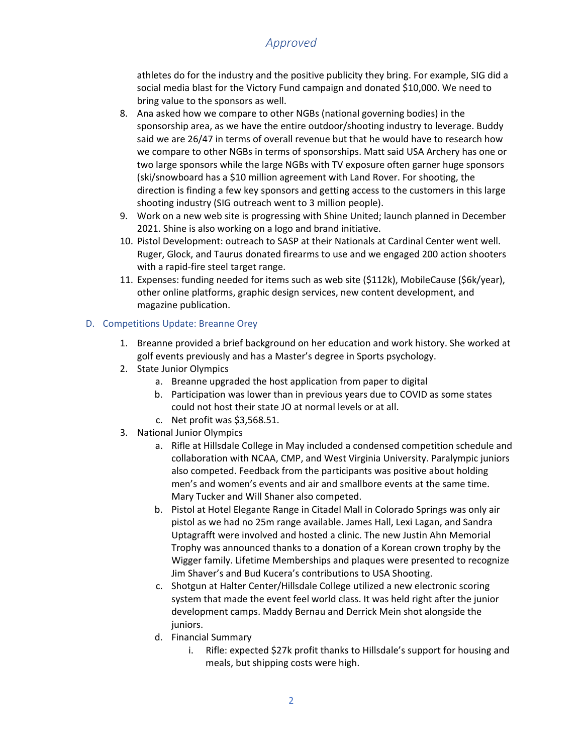athletes do for the industry and the positive publicity they bring. For example, SIG did a social media blast for the Victory Fund campaign and donated \$10,000. We need to bring value to the sponsors as well.

- 8. Ana asked how we compare to other NGBs (national governing bodies) in the sponsorship area, as we have the entire outdoor/shooting industry to leverage. Buddy said we are 26/47 in terms of overall revenue but that he would have to research how we compare to other NGBs in terms of sponsorships. Matt said USA Archery has one or two large sponsors while the large NGBs with TV exposure often garner huge sponsors (ski/snowboard has a \$10 million agreement with Land Rover. For shooting, the direction is finding a few key sponsors and getting access to the customers in this large shooting industry (SIG outreach went to 3 million people).
- 9. Work on a new web site is progressing with Shine United; launch planned in December 2021. Shine is also working on a logo and brand initiative.
- 10. Pistol Development: outreach to SASP at their Nationals at Cardinal Center went well. Ruger, Glock, and Taurus donated firearms to use and we engaged 200 action shooters with a rapid-fire steel target range.
- 11. Expenses: funding needed for items such as web site (\$112k), MobileCause (\$6k/year), other online platforms, graphic design services, new content development, and magazine publication.

### D. Competitions Update: Breanne Orey

- 1. Breanne provided a brief background on her education and work history. She worked at golf events previously and has a Master's degree in Sports psychology.
- 2. State Junior Olympics
	- a. Breanne upgraded the host application from paper to digital
	- b. Participation was lower than in previous years due to COVID as some states could not host their state JO at normal levels or at all.
	- c. Net profit was \$3,568.51.
- 3. National Junior Olympics
	- a. Rifle at Hillsdale College in May included a condensed competition schedule and collaboration with NCAA, CMP, and West Virginia University. Paralympic juniors also competed. Feedback from the participants was positive about holding men's and women's events and air and smallbore events at the same time. Mary Tucker and Will Shaner also competed.
	- b. Pistol at Hotel Elegante Range in Citadel Mall in Colorado Springs was only air pistol as we had no 25m range available. James Hall, Lexi Lagan, and Sandra Uptagrafft were involved and hosted a clinic. The new Justin Ahn Memorial Trophy was announced thanks to a donation of a Korean crown trophy by the Wigger family. Lifetime Memberships and plaques were presented to recognize Jim Shaver's and Bud Kucera's contributions to USA Shooting.
	- c. Shotgun at Halter Center/Hillsdale College utilized a new electronic scoring system that made the event feel world class. It was held right after the junior development camps. Maddy Bernau and Derrick Mein shot alongside the juniors.
	- d. Financial Summary
		- i. Rifle: expected \$27k profit thanks to Hillsdale's support for housing and meals, but shipping costs were high.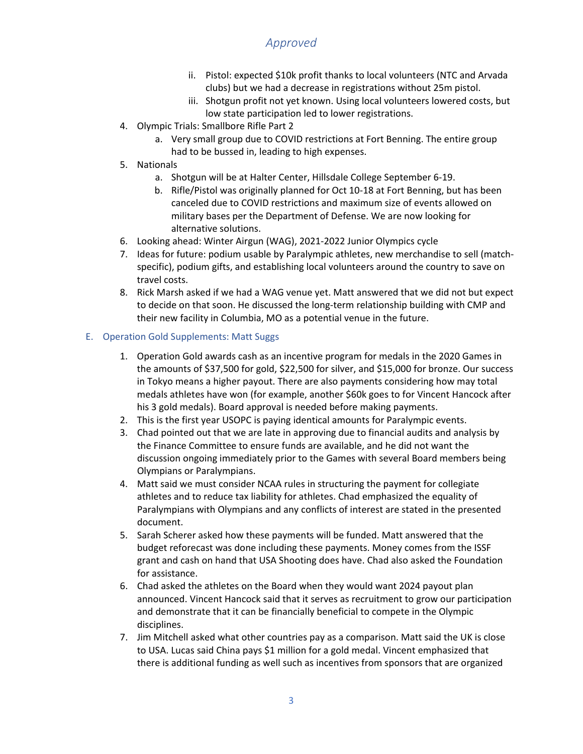- ii. Pistol: expected \$10k profit thanks to local volunteers (NTC and Arvada clubs) but we had a decrease in registrations without 25m pistol.
- iii. Shotgun profit not yet known. Using local volunteers lowered costs, but low state participation led to lower registrations.
- 4. Olympic Trials: Smallbore Rifle Part 2
	- a. Very small group due to COVID restrictions at Fort Benning. The entire group had to be bussed in, leading to high expenses.
- 5. Nationals
	- a. Shotgun will be at Halter Center, Hillsdale College September 6-19.
	- b. Rifle/Pistol was originally planned for Oct 10-18 at Fort Benning, but has been canceled due to COVID restrictions and maximum size of events allowed on military bases per the Department of Defense. We are now looking for alternative solutions.
- 6. Looking ahead: Winter Airgun (WAG), 2021-2022 Junior Olympics cycle
- 7. Ideas for future: podium usable by Paralympic athletes, new merchandise to sell (matchspecific), podium gifts, and establishing local volunteers around the country to save on travel costs.
- 8. Rick Marsh asked if we had a WAG venue yet. Matt answered that we did not but expect to decide on that soon. He discussed the long-term relationship building with CMP and their new facility in Columbia, MO as a potential venue in the future.

### E. Operation Gold Supplements: Matt Suggs

- 1. Operation Gold awards cash as an incentive program for medals in the 2020 Games in the amounts of \$37,500 for gold, \$22,500 for silver, and \$15,000 for bronze. Our success in Tokyo means a higher payout. There are also payments considering how may total medals athletes have won (for example, another \$60k goes to for Vincent Hancock after his 3 gold medals). Board approval is needed before making payments.
- 2. This is the first year USOPC is paying identical amounts for Paralympic events.
- 3. Chad pointed out that we are late in approving due to financial audits and analysis by the Finance Committee to ensure funds are available, and he did not want the discussion ongoing immediately prior to the Games with several Board members being Olympians or Paralympians.
- 4. Matt said we must consider NCAA rules in structuring the payment for collegiate athletes and to reduce tax liability for athletes. Chad emphasized the equality of Paralympians with Olympians and any conflicts of interest are stated in the presented document.
- 5. Sarah Scherer asked how these payments will be funded. Matt answered that the budget reforecast was done including these payments. Money comes from the ISSF grant and cash on hand that USA Shooting does have. Chad also asked the Foundation for assistance.
- 6. Chad asked the athletes on the Board when they would want 2024 payout plan announced. Vincent Hancock said that it serves as recruitment to grow our participation and demonstrate that it can be financially beneficial to compete in the Olympic disciplines.
- 7. Jim Mitchell asked what other countries pay as a comparison. Matt said the UK is close to USA. Lucas said China pays \$1 million for a gold medal. Vincent emphasized that there is additional funding as well such as incentives from sponsors that are organized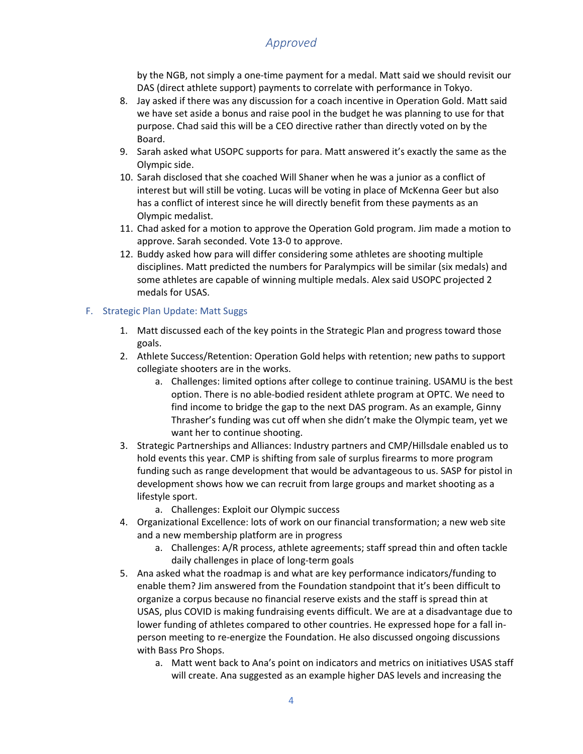by the NGB, not simply a one-time payment for a medal. Matt said we should revisit our DAS (direct athlete support) payments to correlate with performance in Tokyo.

- 8. Jay asked if there was any discussion for a coach incentive in Operation Gold. Matt said we have set aside a bonus and raise pool in the budget he was planning to use for that purpose. Chad said this will be a CEO directive rather than directly voted on by the Board.
- 9. Sarah asked what USOPC supports for para. Matt answered it's exactly the same as the Olympic side.
- 10. Sarah disclosed that she coached Will Shaner when he was a junior as a conflict of interest but will still be voting. Lucas will be voting in place of McKenna Geer but also has a conflict of interest since he will directly benefit from these payments as an Olympic medalist.
- 11. Chad asked for a motion to approve the Operation Gold program. Jim made a motion to approve. Sarah seconded. Vote 13-0 to approve.
- 12. Buddy asked how para will differ considering some athletes are shooting multiple disciplines. Matt predicted the numbers for Paralympics will be similar (six medals) and some athletes are capable of winning multiple medals. Alex said USOPC projected 2 medals for USAS.

### F. Strategic Plan Update: Matt Suggs

- 1. Matt discussed each of the key points in the Strategic Plan and progress toward those goals.
- 2. Athlete Success/Retention: Operation Gold helps with retention; new paths to support collegiate shooters are in the works.
	- a. Challenges: limited options after college to continue training. USAMU is the best option. There is no able-bodied resident athlete program at OPTC. We need to find income to bridge the gap to the next DAS program. As an example, Ginny Thrasher's funding was cut off when she didn't make the Olympic team, yet we want her to continue shooting.
- 3. Strategic Partnerships and Alliances: Industry partners and CMP/Hillsdale enabled us to hold events this year. CMP is shifting from sale of surplus firearms to more program funding such as range development that would be advantageous to us. SASP for pistol in development shows how we can recruit from large groups and market shooting as a lifestyle sport.
	- a. Challenges: Exploit our Olympic success
- 4. Organizational Excellence: lots of work on our financial transformation; a new web site and a new membership platform are in progress
	- a. Challenges: A/R process, athlete agreements; staff spread thin and often tackle daily challenges in place of long-term goals
- 5. Ana asked what the roadmap is and what are key performance indicators/funding to enable them? Jim answered from the Foundation standpoint that it's been difficult to organize a corpus because no financial reserve exists and the staff is spread thin at USAS, plus COVID is making fundraising events difficult. We are at a disadvantage due to lower funding of athletes compared to other countries. He expressed hope for a fall inperson meeting to re-energize the Foundation. He also discussed ongoing discussions with Bass Pro Shops.
	- a. Matt went back to Ana's point on indicators and metrics on initiatives USAS staff will create. Ana suggested as an example higher DAS levels and increasing the